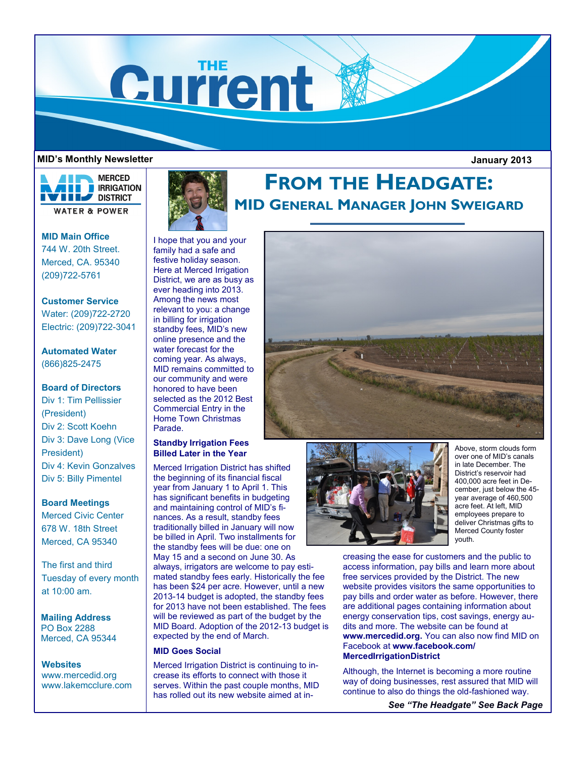

#### **MID's Monthly Newsletter**

 **January 2013**



**MID Main Office** 744 W. 20th Street. Merced, CA. 95340 (209)722-5761

**Customer Service** Water: (209)722-2720 Electric: (209)722-3041

## **Automated Water** (866)825-2475

## **Board of Directors**

Div 1: Tim Pellissier (President) Div 2: Scott Koehn Div 3: Dave Long (Vice President) Div 4: Kevin Gonzalves Div 5: Billy Pimentel

### **Board Meetings**

Merced Civic Center 678 W. 18th Street Merced, CA 95340

The first and third Tuesday of every month at 10:00 am.

**Mailing Address** PO Box 2288 Merced, CA 95344

**Websites** www.mercedid.org www.lakemcclure.com



# **FROM THE HEADGATE: MID GENERAL MANAGER JOHN SWEIGARD**

I hope that you and your family had a safe and festive holiday season. Here at Merced Irrigation District, we are as busy as ever heading into 2013. Among the news most relevant to you: a change in billing for irrigation standby fees, MID's new online presence and the water forecast for the coming year. As always, MID remains committed to our community and were honored to have been selected as the 2012 Best Commercial Entry in the Home Town Christmas Parade.

## **Standby Irrigation Fees Billed Later in the Year**

Merced Irrigation District has shifted the beginning of its financial fiscal year from January 1 to April 1. This has significant benefits in budgeting and maintaining control of MID's finances. As a result, standby fees traditionally billed in January will now be billed in April. Two installments for the standby fees will be due: one on May 15 and a second on June 30. As always, irrigators are welcome to pay estimated standby fees early. Historically the fee has been \$24 per acre. However, until a new 2013-14 budget is adopted, the standby fees for 2013 have not been established. The fees will be reviewed as part of the budget by the MID Board. Adoption of the 2012-13 budget is expected by the end of March.

#### **MID Goes Social**

Merced Irrigation District is continuing to increase its efforts to connect with those it serves. Within the past couple months, MID has rolled out its new website aimed at in-





Above, storm clouds form over one of MID's canals in late December. The District's reservoir had 400,000 acre feet in December, just below the 45 year average of 460,500 acre feet. At left, MID employees prepare to deliver Christmas gifts to Merced County foster youth.

creasing the ease for customers and the public to access information, pay bills and learn more about free services provided by the District. The new website provides visitors the same opportunities to pay bills and order water as before. However, there are additional pages containing information about energy conservation tips, cost savings, energy audits and more. The website can be found at **www.mercedid.org.** You can also now find MID on Facebook at **www.facebook.com/ MercedIrrigationDistrict**

Although, the Internet is becoming a more routine way of doing businesses, rest assured that MID will continue to also do things the old-fashioned way.